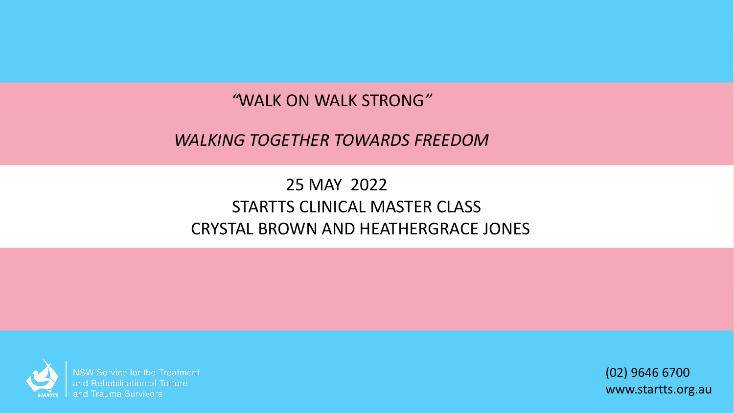#### *"*WALK ON WALK STRONG*"*

#### *WALKING TOGETHER TOWARDS FREEDOM*

#### 25 MAY 2022 STARTTS CLINICAL MASTER CLASS CRYSTAL BROWN AND HEATHERGRACE JONES



**NSW Service for the Treatment** and Rehabilitation of Torture and Trauma Survivors

(02) 9646 6700 www.startts.org.au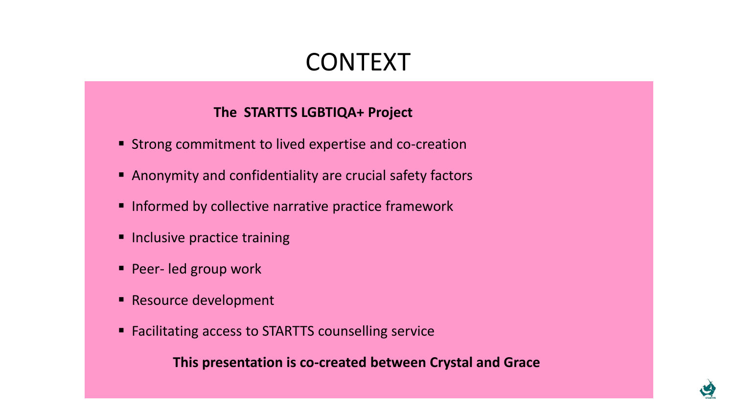#### CONTEXT

#### **The STARTTS LGBTIQA+ Project**

- Strong commitment to lived expertise and co-creation
- Anonymity and confidentiality are crucial safety factors
- Informed by collective narrative practice framework
- **Inclusive practice training**
- Peer- led group work
- Resource development
- Facilitating access to STARTTS counselling service

**This presentation is co-created between Crystal and Grace** 

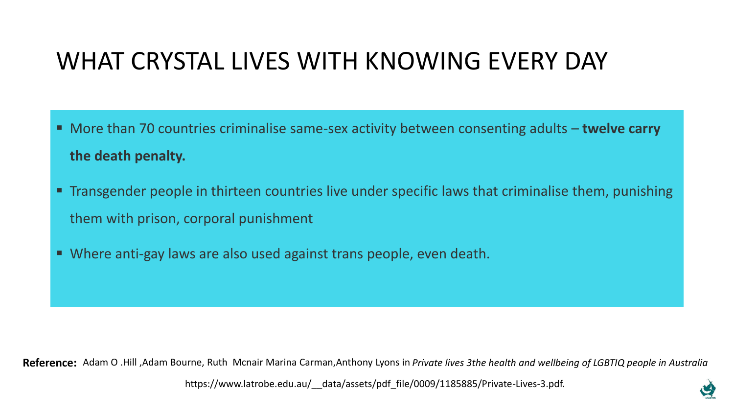## WHAT CRYSTAL LIVES WITH KNOWING EVERY DAY

- More than 70 countries criminalise same-sex activity between consenting adults **twelve carry the death penalty.**
- **The Transgender people in thirteen countries live under specific laws that criminalise them, punishing** them with prison, corporal punishment
- Where anti-gay laws are also used against trans people, even death.

**Reference:** Adam O .Hill ,Adam Bourne, Ruth Mcnair Marina Carman,Anthony Lyons in *Private lives 3the health and wellbeing of LGBTIQ people in Australia* 

https://www.latrobe.edu.au/ data/assets/pdf file/0009/1185885/Private-Lives-3.pdf.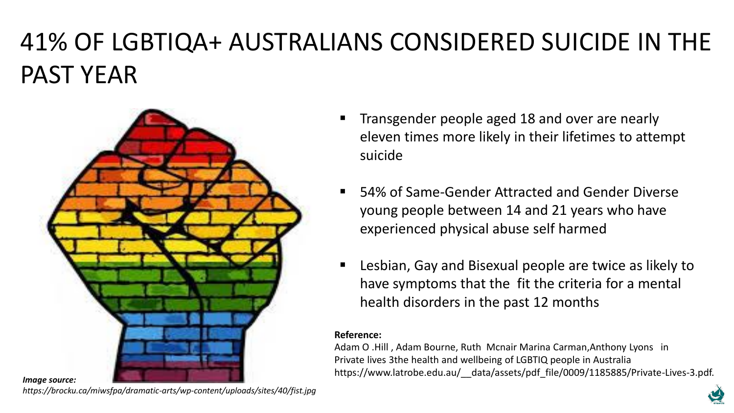# 41% OF LGBTIQA+ AUSTRALIANS CONSIDERED SUICIDE IN THE PAST YEAR



- Transgender people aged 18 and over are nearly eleven times more likely in their lifetimes to attempt suicide
- 54% of Same-Gender Attracted and Gender Diverse young people between 14 and 21 years who have experienced physical abuse self harmed
- Lesbian, Gay and Bisexual people are twice as likely to have symptoms that the fit the criteria for a mental health disorders in the past 12 months

#### **Reference:**

Adam O .Hill , Adam Bourne, Ruth Mcnair Marina Carman,Anthony Lyons in Private lives 3the health and wellbeing of LGBTIQ people in Australia https://www.latrobe.edu.au/ data/assets/pdf file/0009/1185885/Private-Lives-3.pdf.

*https://brocku.ca/miwsfpa/dramatic-arts/wp-content/uploads/sites/40/fist.jpg*

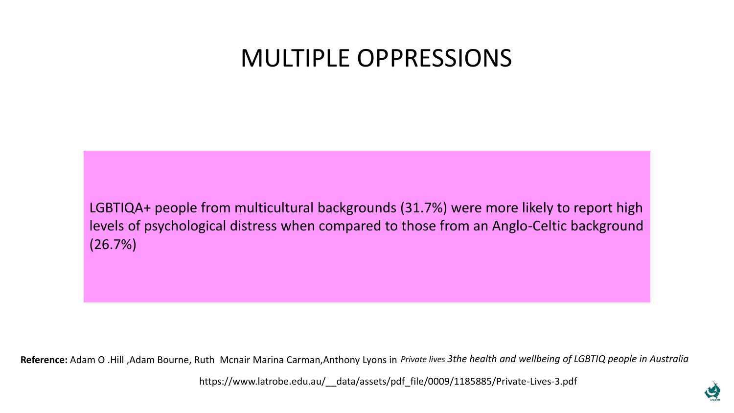#### MULTIPLE OPPRESSIONS

LGBTIQA+ people from multicultural backgrounds (31.7%) were more likely to report high levels of psychological distress when compared to those from an Anglo-Celtic background (26.7%)

**Reference:** Adam O .Hill ,Adam Bourne, Ruth Mcnair Marina Carman,Anthony Lyons in *Private lives 3the health and wellbeing of LGBTIQ people in Australia* 

https://www.latrobe.edu.au/\_\_data/assets/pdf\_file/0009/1185885/Private-Lives-3.pdf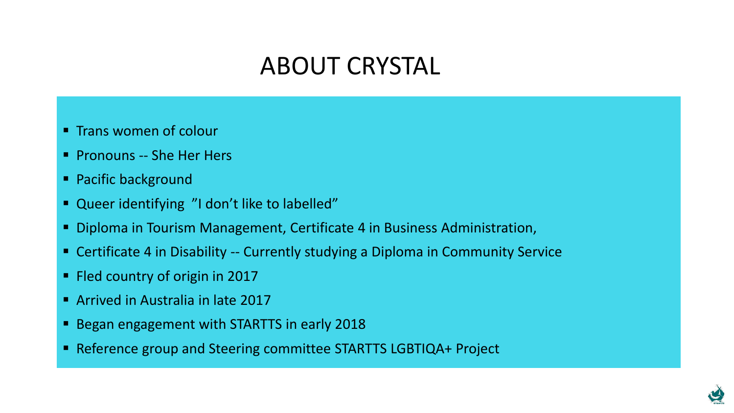# ABOUT CRYSTAL

- **E** Trans women of colour
- Pronouns -- She Her Hers
- Pacific background
- Queer identifying "I don't like to labelled"
- Diploma in Tourism Management, Certificate 4 in Business Administration,
- Certificate 4 in Disability -- Currently studying a Diploma in Community Service
- Fled country of origin in 2017
- Arrived in Australia in late 2017
- Began engagement with STARTTS in early 2018
- Reference group and Steering committee STARTTS LGBTIQA+ Project

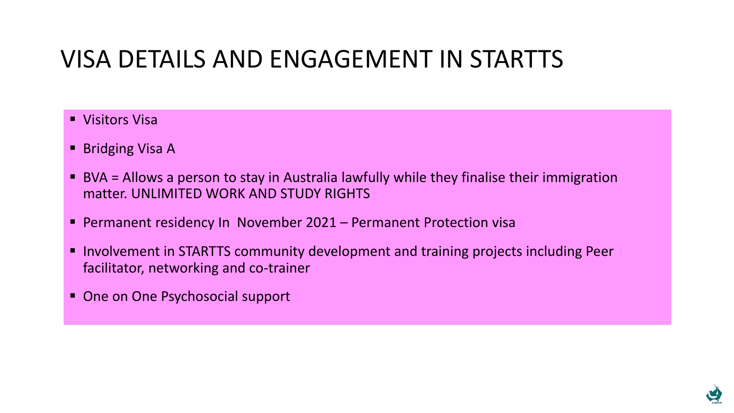## VISA DETAILS AND ENGAGEMENT IN STARTTS

- Visitors Visa
- Bridging Visa A
- BVA = Allows a person to stay in Australia lawfully while they finalise their immigration matter. UNLIMITED WORK AND STUDY RIGHTS
- Permanent residency In November 2021 Permanent Protection visa
- Involvement in STARTTS community development and training projects including Peer facilitator, networking and co-trainer
- One on One Psychosocial support

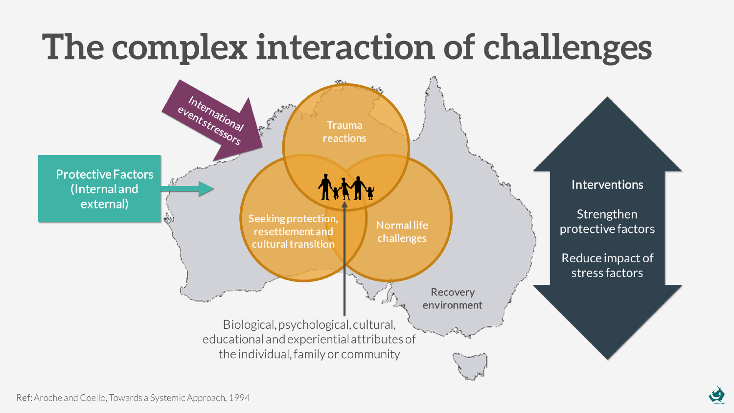# The complex interaction of challenges

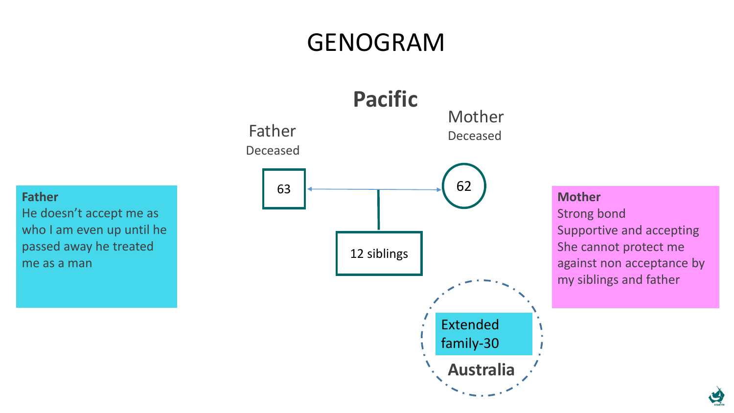# GENOGRAM



**Father**  He doesn't accept me as who I am even up until he passed away he treated me as a man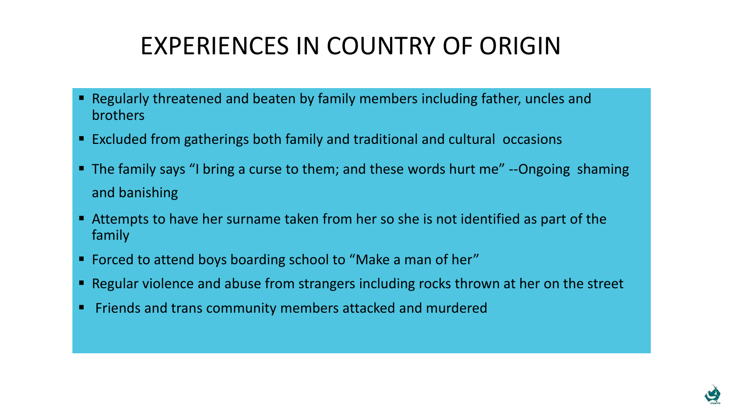# EXPERIENCES IN COUNTRY OF ORIGIN

- Regularly threatened and beaten by family members including father, uncles and brothers
- Excluded from gatherings both family and traditional and cultural occasions
- The family says "I bring a curse to them; and these words hurt me" --Ongoing shaming and banishing
- Attempts to have her surname taken from her so she is not identified as part of the family
- Forced to attend boys boarding school to "Make a man of her"
- Regular violence and abuse from strangers including rocks thrown at her on the street
- Friends and trans community members attacked and murdered

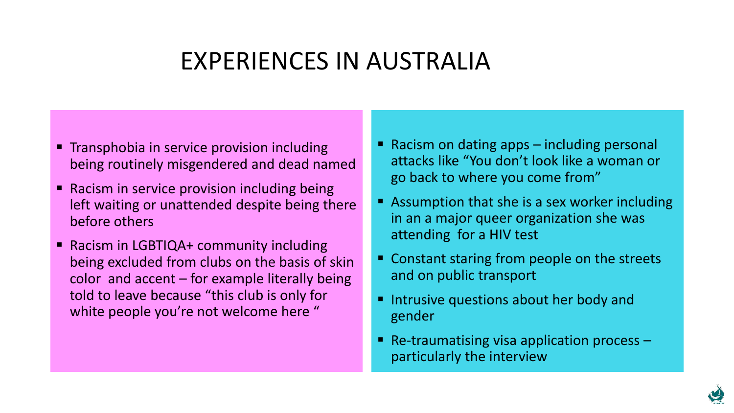#### EXPERIENCES IN AUSTRALIA

- **Transphobia in service provision including** being routinely misgendered and dead named
- Racism in service provision including being left waiting or unattended despite being there before others
- Racism in LGBTIQA+ community including being excluded from clubs on the basis of skin color and accent – for example literally being told to leave because "this club is only for white people you're not welcome here "
- $\blacksquare$  Racism on dating apps  $-$  including personal attacks like "You don't look like a woman or go back to where you come from"
- Assumption that she is a sex worker including in an a major queer organization she was attending for a HIV test
- Constant staring from people on the streets and on public transport
- Intrusive questions about her body and gender
- **E** Re-traumatising visa application process  $$ particularly the interview

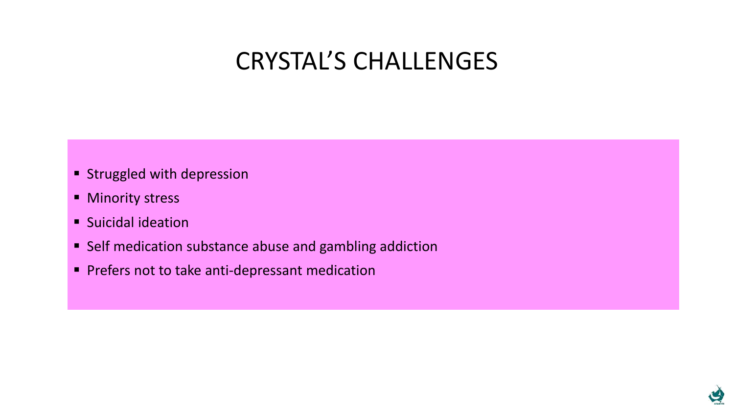#### CRYSTAL'S CHALLENGES

- **E** Struggled with depression
- Minority stress
- Suicidal ideation
- Self medication substance abuse and gambling addiction
- **Prefers not to take anti-depressant medication**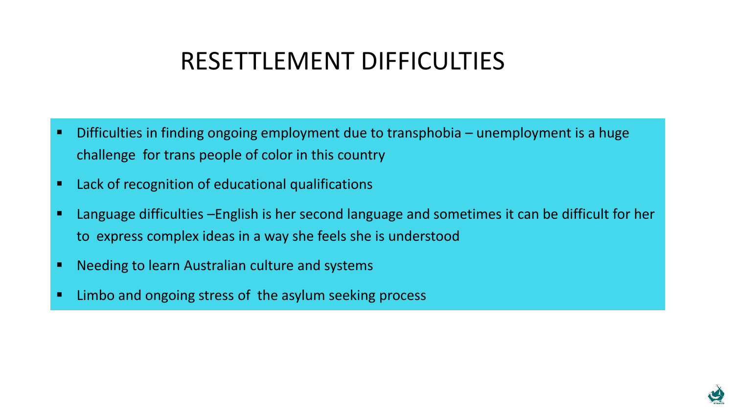#### RESETTLEMENT DIFFICULTIES

- Difficulties in finding ongoing employment due to transphobia unemployment is a huge challenge for trans people of color in this country
- Lack of recognition of educational qualifications
- Language difficulties –English is her second language and sometimes it can be difficult for her to express complex ideas in a way she feels she is understood
- Needing to learn Australian culture and systems
- Limbo and ongoing stress of the asylum seeking process

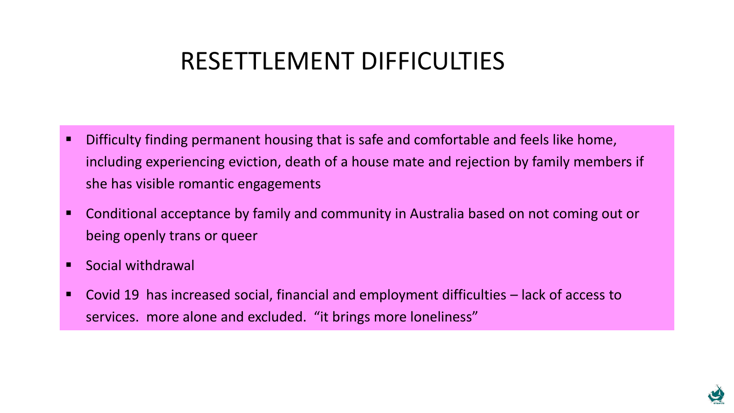#### RESETTLEMENT DIFFICULTIES

- **E** Difficulty finding permanent housing that is safe and comfortable and feels like home, including experiencing eviction, death of a house mate and rejection by family members if she has visible romantic engagements
- Conditional acceptance by family and community in Australia based on not coming out or being openly trans or queer
- Social withdrawal
- Covid 19 has increased social, financial and employment difficulties lack of access to services. more alone and excluded. "it brings more loneliness"

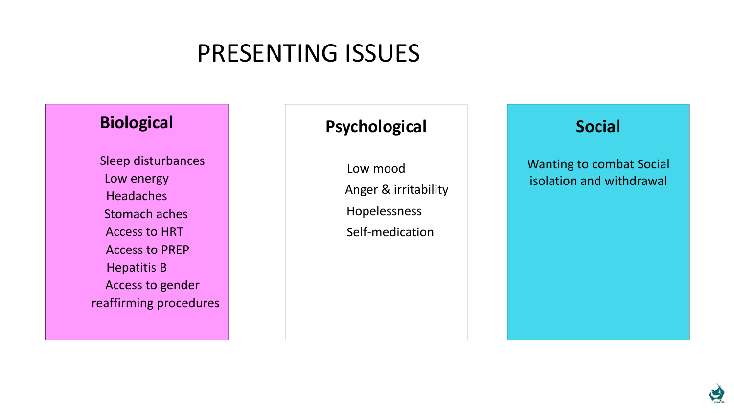## PRESENTING ISSUES

#### **Biological**

Sleep disturbances Low energy **Headaches** Stomach aches Access to HRT Access to PREP Hepatitis B Access to gender reaffirming procedures

#### **Psychological**

Low mood Anger & irritability Hopelessness Self-medication

#### **Social**

Wanting to combat Social isolation and withdrawal

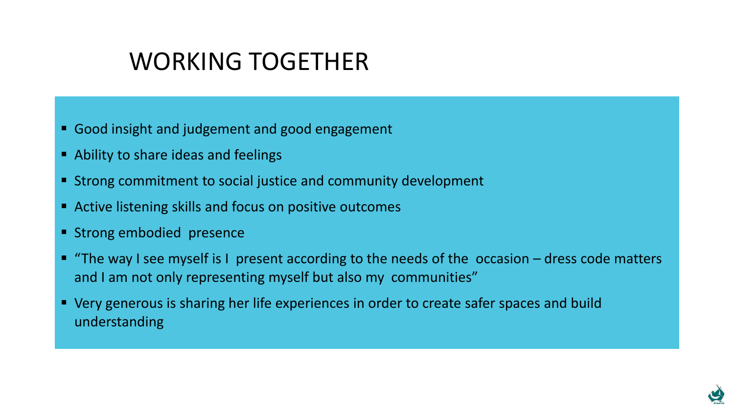## WORKING TOGETHER

- Good insight and judgement and good engagement
- Ability to share ideas and feelings
- **EXT** Strong commitment to social justice and community development
- Active listening skills and focus on positive outcomes
- Strong embodied presence
- "The way I see myself is I present according to the needs of the occasion dress code matters and I am not only representing myself but also my communities"
- Very generous is sharing her life experiences in order to create safer spaces and build understanding

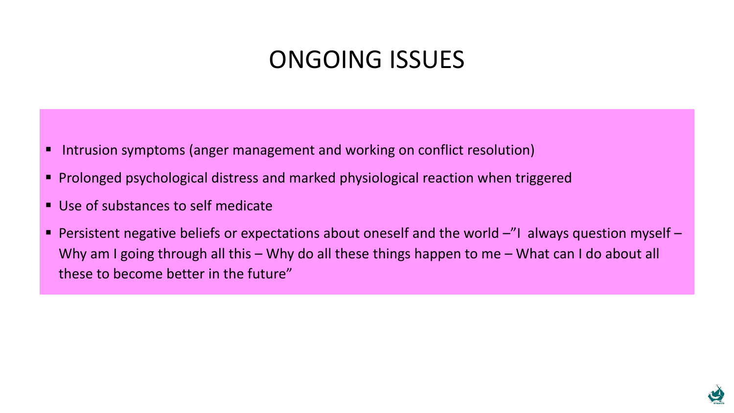#### ONGOING ISSUES

- Intrusion symptoms (anger management and working on conflict resolution)
- Prolonged psychological distress and marked physiological reaction when triggered
- Use of substances to self medicate
- **Persistent negative beliefs or expectations about oneself and the world**  $-$ **"I always question myself** Why am I going through all this – Why do all these things happen to me – What can I do about all these to become better in the future"

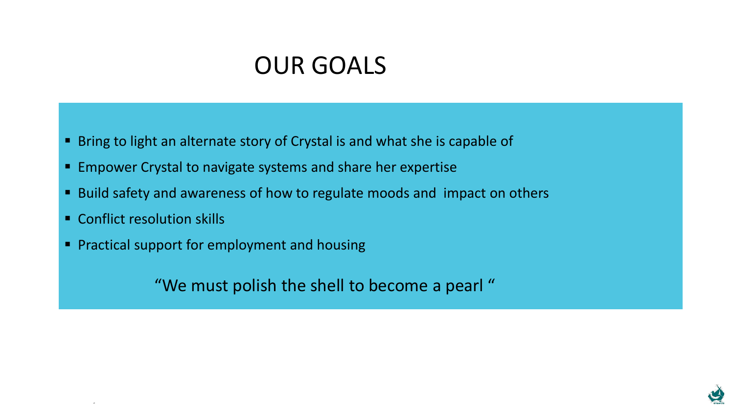#### OUR GOALS

■ Bring to light an alternate story of Crystal is and what she is capable of

- Empower Crystal to navigate systems and share her expertise
- Build safety and awareness of how to regulate moods and impact on others
- Conflict resolution skills

"

■ Practical support for employment and housing

"We must polish the shell to become a pearl "

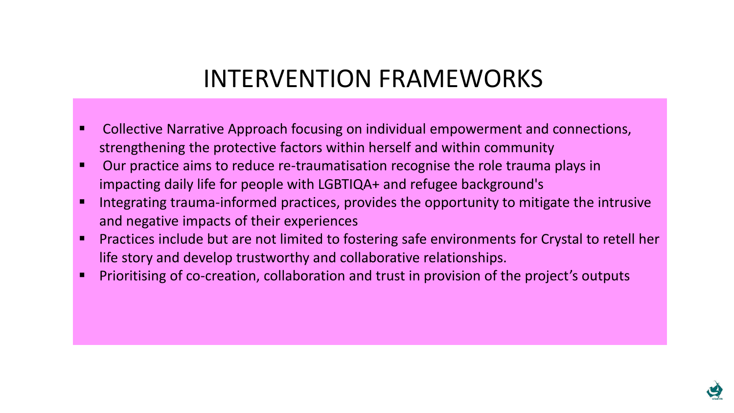#### INTERVENTION FRAMEWORKS

- Collective Narrative Approach focusing on individual empowerment and connections, strengthening the protective factors within herself and within community
- Our practice aims to reduce re-traumatisation recognise the role trauma plays in impacting daily life for people with LGBTIQA+ and refugee background's
- Integrating trauma-informed practices, provides the opportunity to mitigate the intrusive and negative impacts of their experiences
- Practices include but are not limited to fostering safe environments for Crystal to retell her life story and develop trustworthy and collaborative relationships.
- Prioritising of co-creation, collaboration and trust in provision of the project's outputs

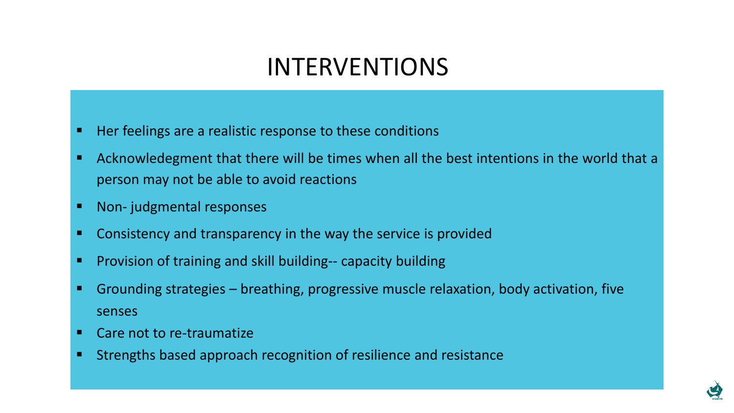#### INTERVENTIONS

- Her feelings are a realistic response to these conditions
- Acknowledegment that there will be times when all the best intentions in the world that a person may not be able to avoid reactions
- Non- judgmental responses
- Consistency and transparency in the way the service is provided
- Provision of training and skill building-- capacity building
- Grounding strategies breathing, progressive muscle relaxation, body activation, five senses
- Care not to re-traumatize
- Strengths based approach recognition of resilience and resistance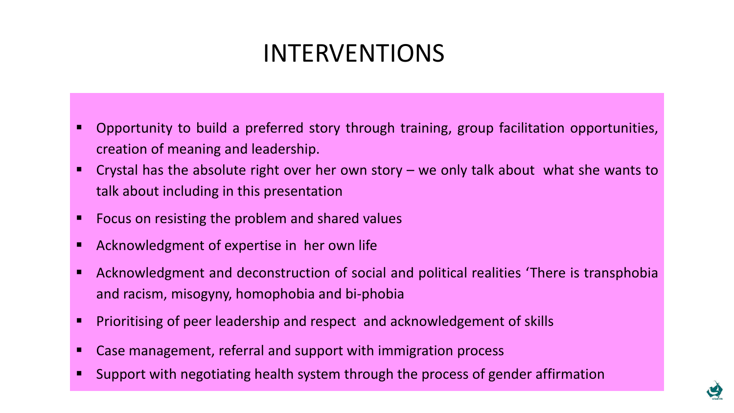# INTERVENTIONS

- Opportunity to build a preferred story through training, group facilitation opportunities, creation of meaning and leadership.
- Crystal has the absolute right over her own story we only talk about what she wants to talk about including in this presentation
- Focus on resisting the problem and shared values
- Acknowledgment of expertise in her own life
- Acknowledgment and deconstruction of social and political realities 'There is transphobia and racism, misogyny, homophobia and bi-phobia
- **<u>EXPR Prioritising of peer leadership and respect and acknowledgement of skills</u>**
- Case management, referral and support with immigration process
- Support with negotiating health system through the process of gender affirmation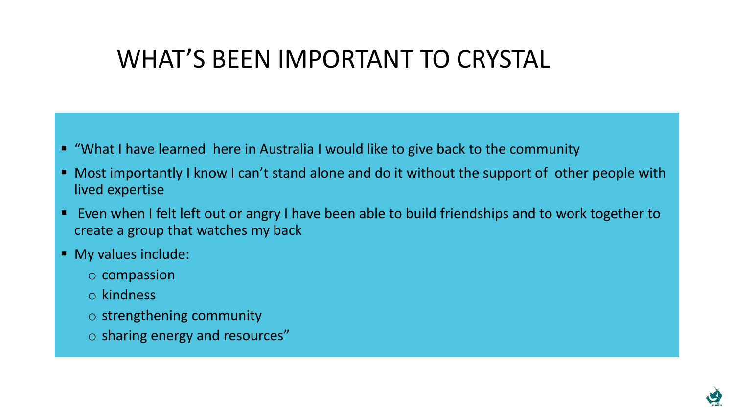#### WHAT'S BEEN IMPORTANT TO CRYSTAL

- "What I have learned here in Australia I would like to give back to the community
- Most importantly I know I can't stand alone and do it without the support of other people with lived expertise
- Even when I felt left out or angry I have been able to build friendships and to work together to create a group that watches my back
- My values include:
	- o compassion
	- o kindness
	- o strengthening community
	- o sharing energy and resources"

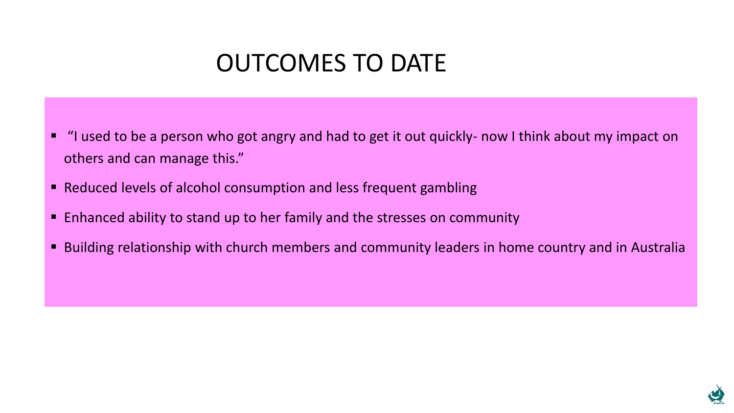#### OUTCOMES TO DATE

- "I used to be a person who got angry and had to get it out quickly- now I think about my impact on others and can manage this."
- Reduced levels of alcohol consumption and less frequent gambling
- Enhanced ability to stand up to her family and the stresses on community
- Building relationship with church members and community leaders in home country and in Australia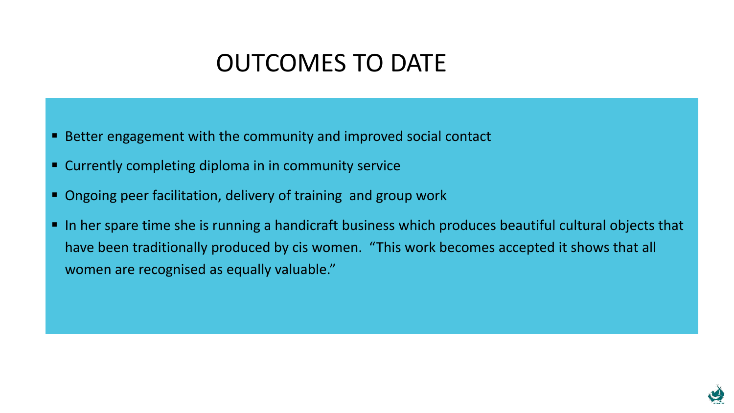#### OUTCOMES TO DATE

- Better engagement with the community and improved social contact
- Currently completing diploma in in community service
- Ongoing peer facilitation, delivery of training and group work
- In her spare time she is running a handicraft business which produces beautiful cultural objects that have been traditionally produced by cis women. "This work becomes accepted it shows that all women are recognised as equally valuable."

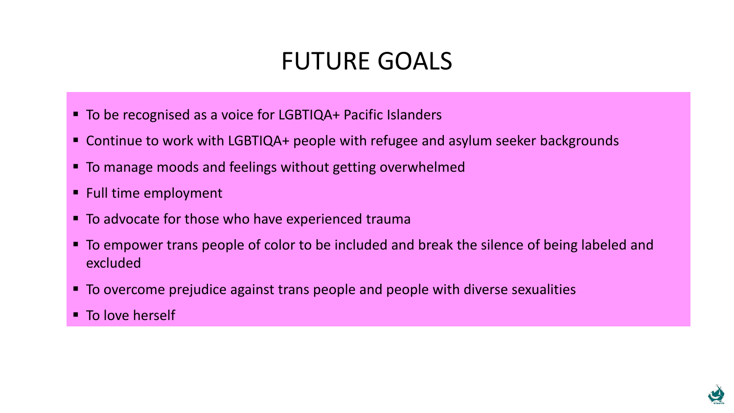## FUTURE GOALS

- To be recognised as a voice for LGBTIQA+ Pacific Islanders
- Continue to work with LGBTIQA+ people with refugee and asylum seeker backgrounds
- To manage moods and feelings without getting overwhelmed
- Full time employment
- To advocate for those who have experienced trauma
- **To empower trans people of color to be included and break the silence of being labeled and** excluded
- To overcome prejudice against trans people and people with diverse sexualities
- To love herself

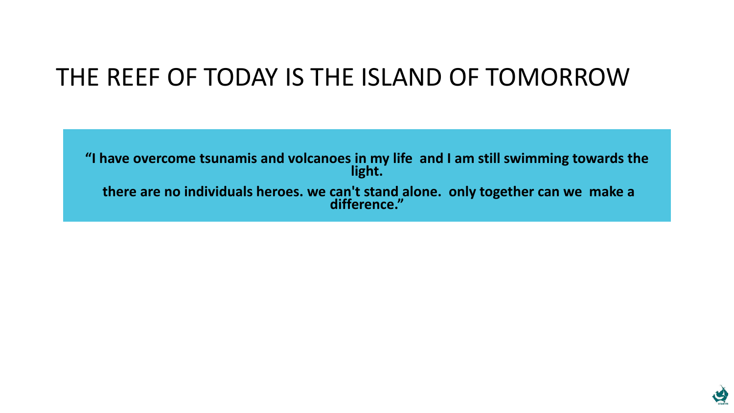# THE REEF OF TODAY IS THE ISLAND OF TOMORROW

**"I have overcome tsunamis and volcanoes in my life and I am still swimming towards the light. there are no individuals heroes. we can't stand alone. only together can we make a difference."**

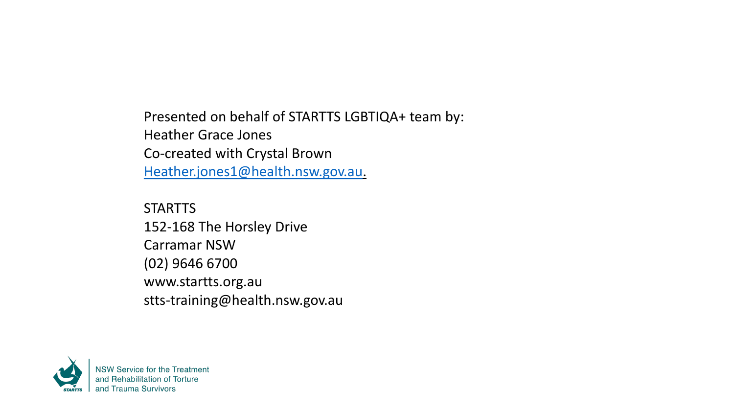Presented on behalf of STARTTS LGBTIQA+ team by: Heather Grace Jones Co-created with Crystal Brown [Heather.jones1@health.nsw.gov.au.](mailto:Heather.jones1@health.nsw.gov.au)

**STARTTS** 152-168 The Horsley Drive Carramar NSW (02) 9646 6700 www.startts.org.au stts-training@health.nsw.gov.au